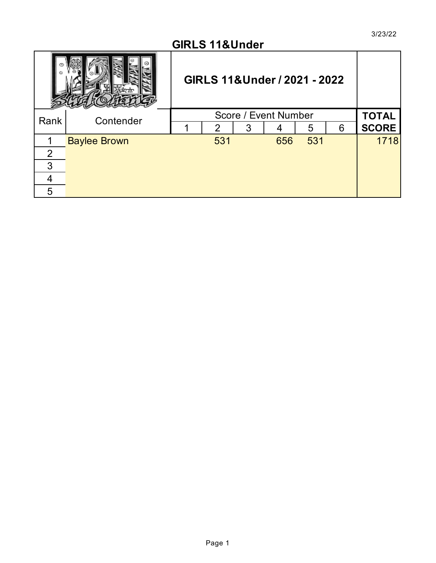#### **GIRLS 11&Under**

|      |                     | GIRLS 11& Under / 2021 - 2022 |                |   |                      |     |   |              |
|------|---------------------|-------------------------------|----------------|---|----------------------|-----|---|--------------|
| Rank | Contender           |                               |                |   | Score / Event Number |     |   | <b>TOTAL</b> |
|      |                     |                               | $\overline{2}$ | 3 |                      | 5   | 6 | <b>SCORE</b> |
|      | <b>Baylee Brown</b> |                               | 531            |   | 656                  | 531 |   | 1718         |
| 2    |                     |                               |                |   |                      |     |   |              |
| 3    |                     |                               |                |   |                      |     |   |              |
|      |                     |                               |                |   |                      |     |   |              |
| 5    |                     |                               |                |   |                      |     |   |              |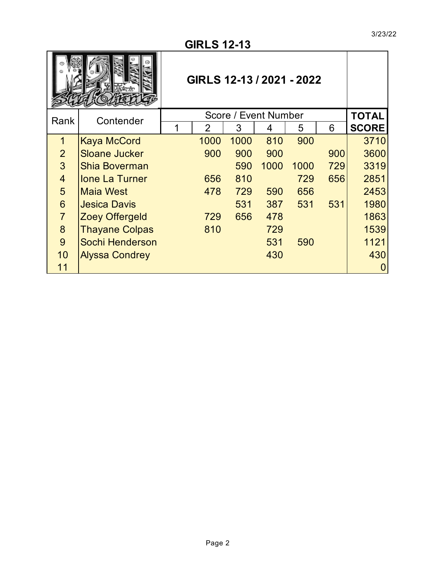|                | GIRLS 12-13 / 2021 - 2022<br><b>TOTAL</b> |  |                |      |      |      |     |              |  |  |
|----------------|-------------------------------------------|--|----------------|------|------|------|-----|--------------|--|--|
| Rank           | Score / Event Number<br>Contender         |  |                |      |      |      |     |              |  |  |
|                |                                           |  | $\overline{2}$ | 3    | 4    | 5    | 6   | <b>SCORE</b> |  |  |
| 1              | <b>Kaya McCord</b>                        |  | 1000           | 1000 | 810  | 900  |     | 3710         |  |  |
| 2 <sup>1</sup> | <b>Sloane Jucker</b>                      |  | 900            | 900  | 900  |      | 900 | 3600         |  |  |
| $\overline{3}$ | <b>Shia Boverman</b>                      |  |                | 590  | 1000 | 1000 | 729 | 3319         |  |  |
| $\overline{4}$ | <b>Ione La Turner</b>                     |  | 656            | 810  |      | 729  | 656 | 2851         |  |  |
| 5              | <b>Maia West</b>                          |  | 478            | 729  | 590  | 656  |     | 2453         |  |  |
| $6\phantom{1}$ | <b>Jesica Davis</b>                       |  |                | 531  | 387  | 531  | 531 | 1980         |  |  |
| $\overline{7}$ | <b>Zoey Offergeld</b>                     |  | 729            | 656  | 478  |      |     | 1863         |  |  |
| 8              | <b>Thayane Colpas</b>                     |  | 810            |      | 729  |      |     | 1539         |  |  |
| 9              | Sochi Henderson                           |  |                |      | 531  | 590  |     | 1121         |  |  |
| 10             | <b>Alyssa Condrey</b>                     |  |                |      | 430  |      |     | 430          |  |  |
| 11             |                                           |  |                |      |      |      |     | O            |  |  |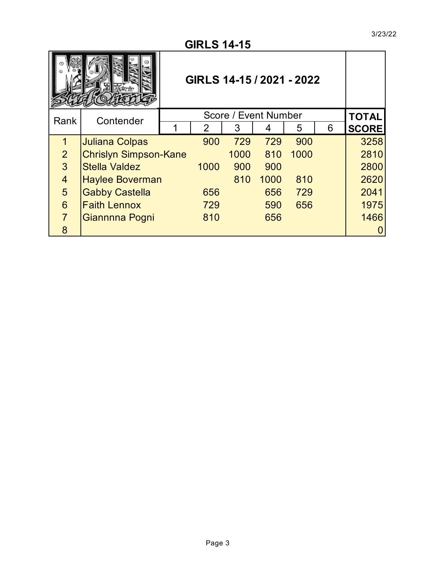| GIRLS 14-15 / 2021 - 2022 |                                   |  |                                                                    |      |      |      |  |      |  |  |
|---------------------------|-----------------------------------|--|--------------------------------------------------------------------|------|------|------|--|------|--|--|
| Rank                      | Score / Event Number<br>Contender |  |                                                                    |      |      |      |  |      |  |  |
|                           |                                   |  | <b>TOTAL</b><br>3<br>5<br>$\overline{2}$<br>6<br><b>SCORE</b><br>4 |      |      |      |  |      |  |  |
| 1                         | <b>Juliana Colpas</b>             |  | 900                                                                | 729  | 729  | 900  |  | 3258 |  |  |
| $\overline{2}$            | <b>Chrislyn Simpson-Kane</b>      |  |                                                                    | 1000 | 810  | 1000 |  | 2810 |  |  |
| 3                         | <b>Stella Valdez</b>              |  | 1000                                                               | 900  | 900  |      |  | 2800 |  |  |
| $\overline{4}$            | <b>Haylee Boverman</b>            |  |                                                                    | 810  | 1000 | 810  |  | 2620 |  |  |
| 5                         | <b>Gabby Castella</b>             |  | 656                                                                |      | 656  | 729  |  | 2041 |  |  |
| 6                         | <b>Faith Lennox</b>               |  | 729                                                                |      | 590  | 656  |  | 1975 |  |  |
| $\overline{7}$            | Giannnna Pogni                    |  | 810                                                                |      | 656  |      |  | 1466 |  |  |
| 8                         |                                   |  |                                                                    |      |      |      |  |      |  |  |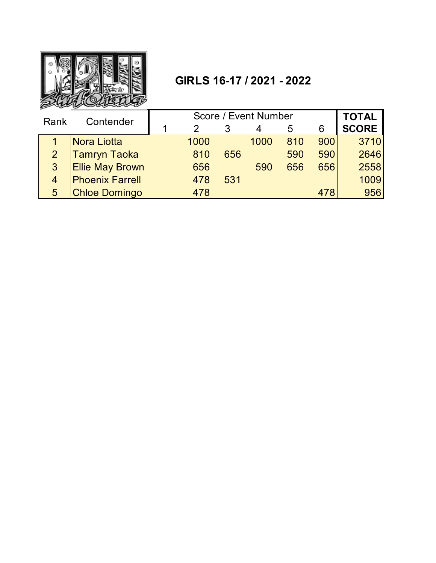

# **GIRLS 16-17 / 2021 - 2022**

| Rank           | Contender              |  |      | <b>TOTAL</b> |      |     |     |              |
|----------------|------------------------|--|------|--------------|------|-----|-----|--------------|
|                |                        |  |      |              |      | 5   | 6   | <b>SCORE</b> |
|                | Nora Liotta            |  | 1000 |              | 1000 | 810 | 900 | 3710         |
| $\overline{2}$ | <b>Tamryn Taoka</b>    |  | 810  | 656          |      | 590 | 590 | 2646         |
| 3 <sup>1</sup> | <b>Ellie May Brown</b> |  | 656  |              | 590  | 656 | 656 | 2558         |
| 4              | <b>Phoenix Farrell</b> |  | 478  | 531          |      |     |     | 1009         |
| 5              | <b>Chloe Domingo</b>   |  | 478  |              |      |     | 478 | 956          |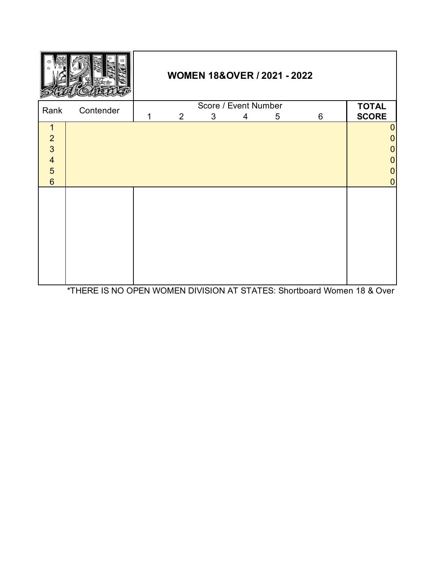|                                                                                                        |           |                                                            |  |  | <b>WOMEN 18&amp;OVER / 2021 - 2022</b> |  |                                                                                                            |  |  |
|--------------------------------------------------------------------------------------------------------|-----------|------------------------------------------------------------|--|--|----------------------------------------|--|------------------------------------------------------------------------------------------------------------|--|--|
| Rank                                                                                                   | Contender | Score / Event Number<br>3<br>6<br>$\overline{2}$<br>5<br>4 |  |  |                                        |  |                                                                                                            |  |  |
| $\mathbf{1}$<br>$\overline{2}$<br>$\overline{3}$<br>$\overline{4}$<br>$\overline{5}$<br>$6\phantom{a}$ |           |                                                            |  |  |                                        |  | $\boldsymbol{0}$<br>$\overline{0}$<br>$\overline{0}$<br>$\overline{0}$<br>$\overline{0}$<br>$\overline{0}$ |  |  |
|                                                                                                        |           |                                                            |  |  |                                        |  |                                                                                                            |  |  |

\*THERE IS NO OPEN WOMEN DIVISION AT STATES: Shortboard Women 18 & Over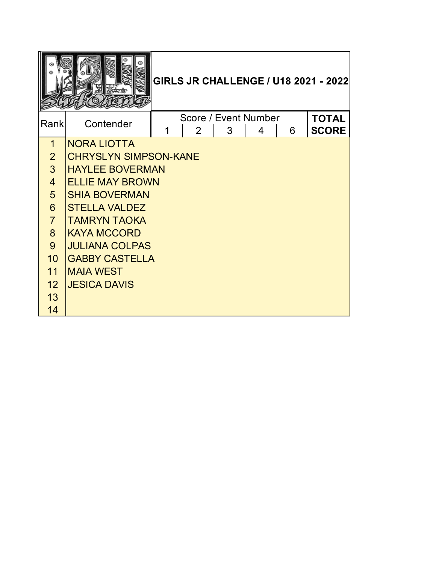|                 |                              |   |                                        |   |   |   | <b>GIRLS JR CHALLENGE / U18 2021 - 2022</b> |
|-----------------|------------------------------|---|----------------------------------------|---|---|---|---------------------------------------------|
| Rank            | Contender                    | 1 | Score / Event Number<br>$\overline{2}$ | 3 | 4 | 6 | <b>TOTAL</b><br><b>SCORE</b>                |
| 1               | <b>NORA LIOTTA</b>           |   |                                        |   |   |   |                                             |
| $\overline{2}$  | <b>CHRYSLYN SIMPSON-KANE</b> |   |                                        |   |   |   |                                             |
| 3 <sup>1</sup>  | <b>HAYLEE BOVERMAN</b>       |   |                                        |   |   |   |                                             |
| $\overline{4}$  | <b>ELLIE MAY BROWN</b>       |   |                                        |   |   |   |                                             |
| 5 <sup>5</sup>  | <b>SHIA BOVERMAN</b>         |   |                                        |   |   |   |                                             |
| $6\overline{6}$ | <b>STELLA VALDEZ</b>         |   |                                        |   |   |   |                                             |
| $\overline{7}$  | <b>TAMRYN TAOKA</b>          |   |                                        |   |   |   |                                             |
| 8               | <b>KAYA MCCORD</b>           |   |                                        |   |   |   |                                             |
| 9               | <b>JULIANA COLPAS</b>        |   |                                        |   |   |   |                                             |
| 10              | <b>GABBY CASTELLA</b>        |   |                                        |   |   |   |                                             |
| 11              | <b>MAIA WEST</b>             |   |                                        |   |   |   |                                             |
| 12              | <b>JESICA DAVIS</b>          |   |                                        |   |   |   |                                             |
| 13              |                              |   |                                        |   |   |   |                                             |
| 14              |                              |   |                                        |   |   |   |                                             |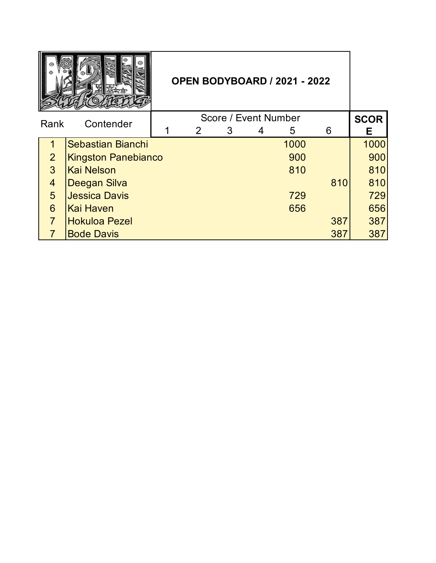|                |                            | <b>OPEN BODYBOARD / 2021 - 2022</b> |   |                      |   |      |     |             |
|----------------|----------------------------|-------------------------------------|---|----------------------|---|------|-----|-------------|
| Rank           | Contender                  |                                     |   | Score / Event Number |   |      |     | <b>SCOR</b> |
|                |                            |                                     | 2 | 3                    | 4 | 5    | 6   | Е           |
| 1              | Sebastian Bianchi          |                                     |   |                      |   | 1000 |     | 1000        |
| 2 <sup>1</sup> | <b>Kingston Panebianco</b> |                                     |   |                      |   | 900  |     | 900         |
| 3 <sup>1</sup> | <b>Kai Nelson</b>          |                                     |   |                      |   | 810  |     | 810         |
| $\overline{4}$ | Deegan Silva               |                                     |   |                      |   |      | 810 | 810         |
| 5              | <b>Jessica Davis</b>       |                                     |   |                      |   | 729  |     | 729         |
| 6              | Kai Haven                  |                                     |   |                      |   | 656  |     | 656         |
| $\overline{7}$ | <b>Hokuloa Pezel</b>       |                                     |   |                      |   |      | 387 | 387         |
|                | <b>Bode Davis</b>          |                                     |   |                      |   |      | 387 | 387         |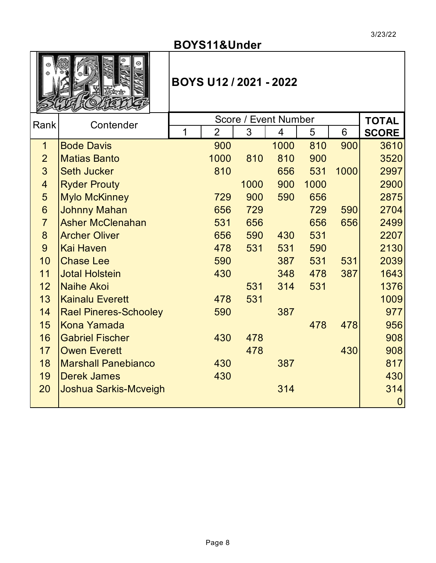# **BOYS11&Under**



# **BOYS U12 / 2021 - 2022**

| Rank           | Contender                    |   |                |      | Score / Event Number |      |      | <b>TOTAL</b>   |
|----------------|------------------------------|---|----------------|------|----------------------|------|------|----------------|
|                |                              | 1 | $\overline{2}$ | 3    | 4                    | 5    | 6    | <b>SCORE</b>   |
| 1              | <b>Bode Davis</b>            |   | 900            |      | 1000                 | 810  | 900  | 3610           |
| $\overline{2}$ | <b>Matias Banto</b>          |   | 1000           | 810  | 810                  | 900  |      | 3520           |
| $\overline{3}$ | <b>Seth Jucker</b>           |   | 810            |      | 656                  | 531  | 1000 | 2997           |
| $\overline{4}$ | <b>Ryder Prouty</b>          |   |                | 1000 | 900                  | 1000 |      | 2900           |
| 5              | <b>Mylo McKinney</b>         |   | 729            | 900  | 590                  | 656  |      | 2875           |
| 6              | <b>Johnny Mahan</b>          |   | 656            | 729  |                      | 729  | 590  | 2704           |
| $\overline{7}$ | <b>Asher McClenahan</b>      |   | 531            | 656  |                      | 656  | 656  | 2499           |
| 8              | <b>Archer Oliver</b>         |   | 656            | 590  | 430                  | 531  |      | 2207           |
| 9              | <b>Kai Haven</b>             |   | 478            | 531  | 531                  | 590  |      | 2130           |
| 10             | <b>Chase Lee</b>             |   | 590            |      | 387                  | 531  | 531  | 2039           |
| 11             | <b>Jotal Holstein</b>        |   | 430            |      | 348                  | 478  | 387  | 1643           |
| 12             | <b>Naihe Akoi</b>            |   |                | 531  | 314                  | 531  |      | 1376           |
| 13             | <b>Kainalu Everett</b>       |   | 478            | 531  |                      |      |      | 1009           |
| 14             | <b>Rael Pineres-Schooley</b> |   | 590            |      | 387                  |      |      | 977            |
| 15             | <b>Kona Yamada</b>           |   |                |      |                      | 478  | 478  | 956            |
| 16             | <b>Gabriel Fischer</b>       |   | 430            | 478  |                      |      |      | 908            |
| 17             | <b>Owen Everett</b>          |   |                | 478  |                      |      | 430  | 908            |
| 18             | <b>Marshall Panebianco</b>   |   | 430            |      | 387                  |      |      | 817            |
| 19             | <b>Derek James</b>           |   | 430            |      |                      |      |      | 430            |
| 20             | <b>Joshua Sarkis-Mcveigh</b> |   |                |      | 314                  |      |      | 314            |
|                |                              |   |                |      |                      |      |      | $\overline{0}$ |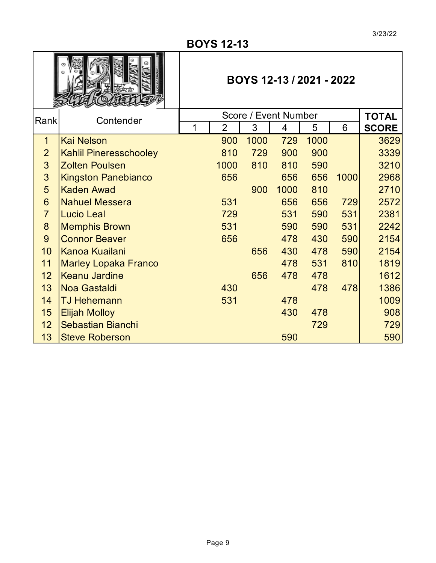#### **BOYS 12-13**

|                |                               |                | BOYS 12-13 / 2021 - 2022 |      |      |      |              |
|----------------|-------------------------------|----------------|--------------------------|------|------|------|--------------|
| Rank           | Contender                     |                | Score / Event Number     |      |      |      | <b>TOTAL</b> |
|                |                               | $\overline{2}$ | 3                        | 4    | 5    | 6    | <b>SCORE</b> |
| $\mathbf 1$    | <b>Kai Nelson</b>             | 900            | 1000                     | 729  | 1000 |      | 3629         |
| $\overline{2}$ | <b>Kahlil Pineresschooley</b> | 810            | 729                      | 900  | 900  |      | 3339         |
| 3              | <b>Zolten Poulsen</b>         | 1000           | 810                      | 810  | 590  |      | 3210         |
| 3              | <b>Kingston Panebianco</b>    | 656            |                          | 656  | 656  | 1000 | 2968         |
| 5              | <b>Kaden Awad</b>             |                | 900                      | 1000 | 810  |      | 2710         |
| 6              | <b>Nahuel Messera</b>         | 531            |                          | 656  | 656  | 729  | 2572         |
| $\overline{7}$ | <b>Lucio Leal</b>             | 729            |                          | 531  | 590  | 531  | 2381         |
| 8              | <b>Memphis Brown</b>          | 531            |                          | 590  | 590  | 531  | 2242         |
| 9              | <b>Connor Beaver</b>          | 656            |                          | 478  | 430  | 590  | 2154         |
| 10             | <b>Kanoa Kuailani</b>         |                | 656                      | 430  | 478  | 590  | 2154         |
| 11             | <b>Marley Lopaka Franco</b>   |                |                          | 478  | 531  | 810  | 1819         |
| 12             | Keanu Jardine                 |                | 656                      | 478  | 478  |      | 1612         |
| 13             | Noa Gastaldi                  | 430            |                          |      | 478  | 478  | 1386         |
| 14             | <b>TJ Hehemann</b>            | 531            |                          | 478  |      |      | 1009         |
| 15             | <b>Elijah Molloy</b>          |                |                          | 430  | 478  |      | 908          |
| 12             | <b>Sebastian Bianchi</b>      |                |                          |      | 729  |      | 729          |
| 13             | <b>Steve Roberson</b>         |                |                          | 590  |      |      | 590          |

J

Г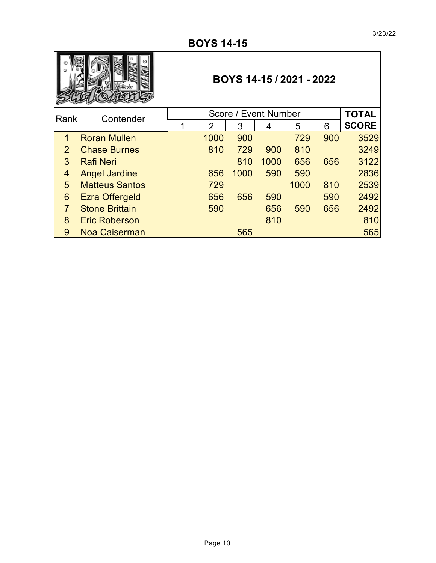|                |                       | BOYS 14-15 / 2021 - 2022 |                |      |      |      |     |              |  |  |  |
|----------------|-----------------------|--------------------------|----------------|------|------|------|-----|--------------|--|--|--|
| Rank           | Contender             |                          | <b>TOTAL</b>   |      |      |      |     |              |  |  |  |
|                |                       | 1                        | $\overline{2}$ | 3    |      | 5    | 6   | <b>SCORE</b> |  |  |  |
| $\mathbf 1$    | <b>Roran Mullen</b>   |                          | 1000           | 900  |      | 729  | 900 | 3529         |  |  |  |
| $\overline{2}$ | <b>Chase Burnes</b>   |                          | 810            | 729  | 900  | 810  |     | 3249         |  |  |  |
| 3              | <b>Rafi Neri</b>      |                          |                | 810  | 1000 | 656  | 656 | 3122         |  |  |  |
| 4              | <b>Angel Jardine</b>  |                          | 656            | 1000 | 590  | 590  |     | 2836         |  |  |  |
| 5              | <b>Matteus Santos</b> |                          | 729            |      |      | 1000 | 810 | 2539         |  |  |  |
| 6              | <b>Ezra Offergeld</b> |                          | 656            | 656  | 590  |      | 590 | 2492         |  |  |  |
| $\overline{7}$ | <b>Stone Brittain</b> |                          | 590            |      | 656  | 590  | 656 | 2492         |  |  |  |
| 8              | <b>Eric Roberson</b>  |                          |                |      | 810  |      |     | 810          |  |  |  |
| 9              | <b>Noa Caiserman</b>  |                          |                | 565  |      |      |     | 565          |  |  |  |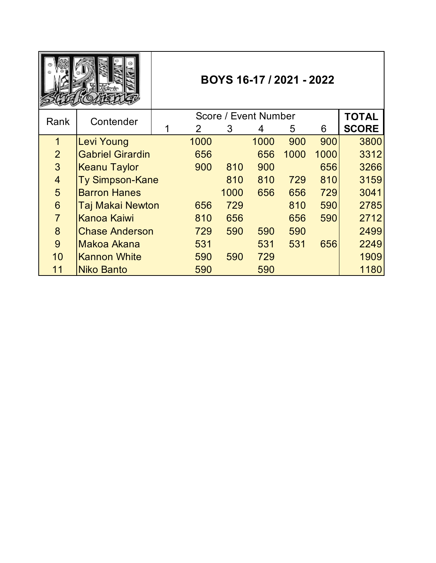|                |                                   |  |                |      | BOYS 16-17 / 2021 - 2022 |      |      |              |
|----------------|-----------------------------------|--|----------------|------|--------------------------|------|------|--------------|
| Rank           | Score / Event Number<br>Contender |  |                |      |                          |      |      |              |
|                |                                   |  | $\overline{2}$ | 3    | 4                        | 5    | 6    | <b>SCORE</b> |
| $\overline{1}$ | <b>Levi Young</b>                 |  | 1000           |      | 1000                     | 900  | 900  | 3800         |
| $\overline{2}$ | <b>Gabriel Girardin</b>           |  | 656            |      | 656                      | 1000 | 1000 | 3312         |
| 3              | <b>Keanu Taylor</b>               |  | 900            | 810  | 900                      |      | 656  | 3266         |
| $\overline{4}$ | <b>Ty Simpson-Kane</b>            |  |                | 810  | 810                      | 729  | 810  | 3159         |
| 5              | <b>Barron Hanes</b>               |  |                | 1000 | 656                      | 656  | 729  | 3041         |
| 6              | <b>Taj Makai Newton</b>           |  | 656            | 729  |                          | 810  | 590  | 2785         |
| $\overline{7}$ | <b>Kanoa Kaiwi</b>                |  | 810            | 656  |                          | 656  | 590  | 2712         |
| 8              | <b>Chase Anderson</b>             |  | 729            | 590  | 590                      | 590  |      | 2499         |
| 9              | Makoa Akana                       |  | 531            |      | 531                      | 531  | 656  | 2249         |
| 10             | <b>Kannon White</b>               |  | 590            | 590  | 729                      |      |      | 1909         |
| 11             | <b>Niko Banto</b>                 |  | 590            |      | 590                      |      |      | 1180         |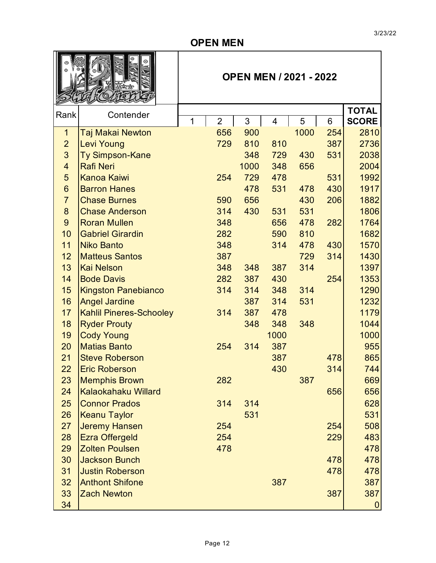#### **OPEN MEN**

|                         |                                |   |  | <b>OPEN MEN / 2021 - 2022</b> |          |      |           |          |                      |  |  |
|-------------------------|--------------------------------|---|--|-------------------------------|----------|------|-----------|----------|----------------------|--|--|
| Rank                    | Contender                      |   |  |                               |          |      |           |          | <b>TOTAL</b>         |  |  |
| 1                       | Taj Makai Newton               | 1 |  | $\overline{2}$<br>656         | 3<br>900 | 4    | 5<br>1000 | 6<br>254 | <b>SCORE</b><br>2810 |  |  |
| $\overline{2}$          | <b>Levi Young</b>              |   |  | 729                           | 810      | 810  |           | 387      | 2736                 |  |  |
| 3                       | Ty Simpson-Kane                |   |  |                               | 348      | 729  | 430       | 531      | 2038                 |  |  |
| $\overline{\mathbf{4}}$ | <b>Rafi Neri</b>               |   |  |                               | 1000     | 348  | 656       |          | 2004                 |  |  |
| 5                       | <b>Kanoa Kaiwi</b>             |   |  | 254                           | 729      | 478  |           | 531      | 1992                 |  |  |
| $6\phantom{1}$          | <b>Barron Hanes</b>            |   |  |                               | 478      | 531  | 478       | 430      | 1917                 |  |  |
| $\overline{7}$          | <b>Chase Burnes</b>            |   |  | 590                           | 656      |      | 430       | 206      | 1882                 |  |  |
| 8                       | <b>Chase Anderson</b>          |   |  | 314                           | 430      | 531  | 531       |          | 1806                 |  |  |
| $\overline{9}$          | <b>Roran Mullen</b>            |   |  | 348                           |          | 656  | 478       | 282      | 1764                 |  |  |
| 10                      | <b>Gabriel Girardin</b>        |   |  | 282                           |          | 590  | 810       |          | 1682                 |  |  |
| 11                      | <b>Niko Banto</b>              |   |  | 348                           |          | 314  | 478       | 430      | 1570                 |  |  |
| 12                      | <b>Matteus Santos</b>          |   |  | 387                           |          |      | 729       | 314      | 1430                 |  |  |
| 13                      | <b>Kai Nelson</b>              |   |  | 348                           | 348      | 387  | 314       |          | 1397                 |  |  |
| 14                      | <b>Bode Davis</b>              |   |  | 282                           | 387      | 430  |           | 254      | 1353                 |  |  |
| 15                      | <b>Kingston Panebianco</b>     |   |  | 314                           | 314      | 348  | 314       |          | 1290                 |  |  |
| 16                      | <b>Angel Jardine</b>           |   |  |                               | 387      | 314  | 531       |          | 1232                 |  |  |
| 17                      | <b>Kahlil Pineres-Schooley</b> |   |  | 314                           | 387      | 478  |           |          | 1179                 |  |  |
| 18                      | <b>Ryder Prouty</b>            |   |  |                               | 348      | 348  | 348       |          | 1044                 |  |  |
| 19                      | <b>Cody Young</b>              |   |  |                               |          | 1000 |           |          | 1000                 |  |  |
| 20                      | <b>Matias Banto</b>            |   |  | 254                           | 314      | 387  |           |          | 955                  |  |  |
| 21                      | <b>Steve Roberson</b>          |   |  |                               |          | 387  |           | 478      | 865                  |  |  |
| 22                      | <b>Eric Roberson</b>           |   |  |                               |          | 430  |           | 314      | 744                  |  |  |
| 23                      | <b>Memphis Brown</b>           |   |  | 282                           |          |      | 387       |          | 669                  |  |  |
| 24                      | <b>Kalaokahaku Willard</b>     |   |  |                               |          |      |           | 656      | 656                  |  |  |
| 25                      | <b>Connor Prados</b>           |   |  | 314                           | 314      |      |           |          | 628                  |  |  |
| 26                      | <b>Keanu Taylor</b>            |   |  |                               | 531      |      |           |          | 531                  |  |  |
| 27                      | <b>Jeremy Hansen</b>           |   |  | 254                           |          |      |           | 254      | 508                  |  |  |
| 28                      | <b>Ezra Offergeld</b>          |   |  | 254                           |          |      |           | 229      | 483                  |  |  |
| 29                      | <b>Zolten Poulsen</b>          |   |  | 478                           |          |      |           |          | 478                  |  |  |
| 30                      | <b>Jackson Bunch</b>           |   |  |                               |          |      |           | 478      | 478                  |  |  |
| 31                      | <b>Justin Roberson</b>         |   |  |                               |          |      |           | 478      | 478                  |  |  |
| 32                      | <b>Anthont Shifone</b>         |   |  |                               |          | 387  |           |          | 387                  |  |  |
| 33                      | <b>Zach Newton</b>             |   |  |                               |          |      |           | 387      | 387                  |  |  |
| 34                      |                                |   |  |                               |          |      |           |          | $\mathbf{0}$         |  |  |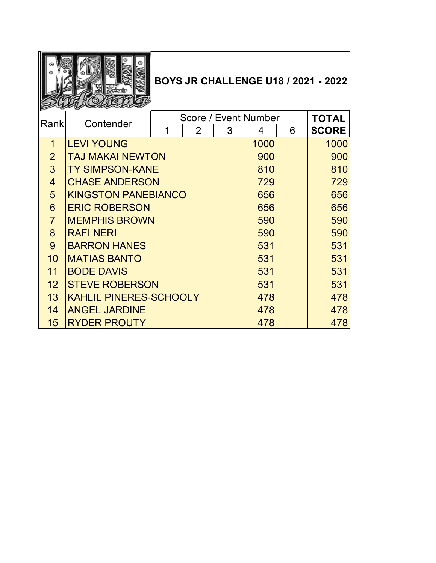|                |                               |                      |     |      |     | <b>BOYS JR CHALLENGE U18 / 2021 - 2022</b> |
|----------------|-------------------------------|----------------------|-----|------|-----|--------------------------------------------|
| Rank           | Contender                     | Score / Event Number |     |      |     | <b>TOTAL</b>                               |
|                |                               | $\overline{2}$       | 3   | 4    | 6   | <b>SCORE</b>                               |
| $\mathbf 1$    | <b>LEVI YOUNG</b>             |                      |     | 1000 |     | 1000                                       |
| $\overline{2}$ | <b>TAJ MAKAI NEWTON</b>       |                      |     | 900  |     | 900                                        |
| $\overline{3}$ | <b>TY SIMPSON-KANE</b>        |                      |     | 810  | 810 |                                            |
| $\overline{4}$ | <b>CHASE ANDERSON</b>         |                      | 729 | 729  |     |                                            |
| 5              | <b>KINGSTON PANEBIANCO</b>    |                      | 656 | 656  |     |                                            |
| 6              | <b>ERIC ROBERSON</b>          |                      | 656 | 656  |     |                                            |
| $\overline{7}$ | <b>MEMPHIS BROWN</b>          |                      |     | 590  | 590 |                                            |
| 8              | <b>RAFI NERI</b>              |                      |     | 590  | 590 |                                            |
| 9              | <b>BARRON HANES</b>           |                      |     | 531  | 531 |                                            |
| 10             | <b>MATIAS BANTO</b>           |                      |     | 531  | 531 |                                            |
| 11             | <b>BODE DAVIS</b>             |                      |     | 531  | 531 |                                            |
| 12             | <b>STEVE ROBERSON</b>         |                      | 531 | 531  |     |                                            |
| 13             | <b>KAHLIL PINERES-SCHOOLY</b> |                      |     | 478  |     | 478                                        |
| 14             | <b>ANGEL JARDINE</b>          |                      |     | 478  | 478 |                                            |
| 15             | <b>RYDER PROUTY</b>           |                      |     | 478  |     | 478                                        |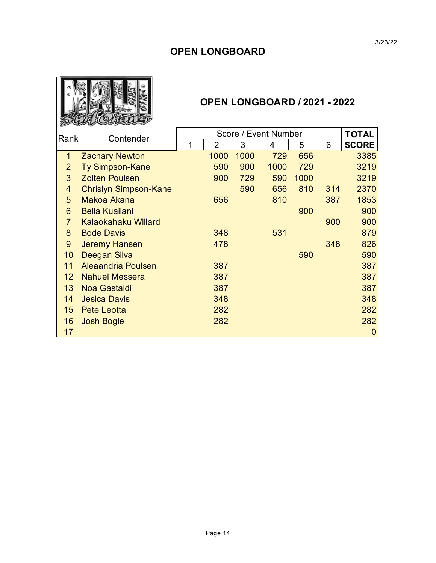#### **OPEN LONGBOARD**

|                 |                              |                |      | <b>OPEN LONGBOARD / 2021 - 2022</b> |      |     |                  |
|-----------------|------------------------------|----------------|------|-------------------------------------|------|-----|------------------|
| Rank            | Contender                    |                |      | Score / Event Number                |      |     | <b>TOTAL</b>     |
|                 |                              | $\overline{2}$ | 3    | 4                                   | 5    | 6   | <b>SCORE</b>     |
| $\mathbf{1}$    | <b>Zachary Newton</b>        | 1000           | 1000 | 729                                 | 656  |     | 3385             |
| $\overline{2}$  | <b>Ty Simpson-Kane</b>       | 590            | 900  | 1000                                | 729  |     | 3219             |
| 3               | <b>Zolten Poulsen</b>        | 900            | 729  | 590                                 | 1000 |     | 3219             |
| $\overline{4}$  | <b>Chrislyn Simpson-Kane</b> |                | 590  | 656                                 | 810  | 314 | 2370             |
| 5               | Makoa Akana                  | 656            |      | 810                                 |      | 387 | 1853             |
| 6               | <b>Bella Kuailani</b>        |                |      |                                     | 900  |     | 900              |
| $\overline{7}$  | <b>Kalaokahaku Willard</b>   |                |      |                                     |      | 900 | 900              |
| 8               | <b>Bode Davis</b>            | 348            |      | 531                                 |      |     | 879              |
| 9               | <b>Jeremy Hansen</b>         | 478            |      |                                     |      | 348 | 826              |
| 10              | Deegan Silva                 |                |      |                                     | 590  |     | 590              |
| 11              | <b>Aleaandria Poulsen</b>    | 387            |      |                                     |      |     | 387              |
| 12 <sup>2</sup> | <b>Nahuel Messera</b>        | 387            |      |                                     |      |     | 387              |
| 13              | <b>Noa Gastaldi</b>          | 387            |      |                                     |      |     | 387              |
| 14              | <b>Jesica Davis</b>          | 348            |      |                                     |      |     | 348              |
| 15              | <b>Pete Leotta</b>           | 282            |      |                                     |      |     | 282              |
| 16              | <b>Josh Bogle</b>            | 282            |      |                                     |      |     | 282              |
| 17              |                              |                |      |                                     |      |     | $\boldsymbol{0}$ |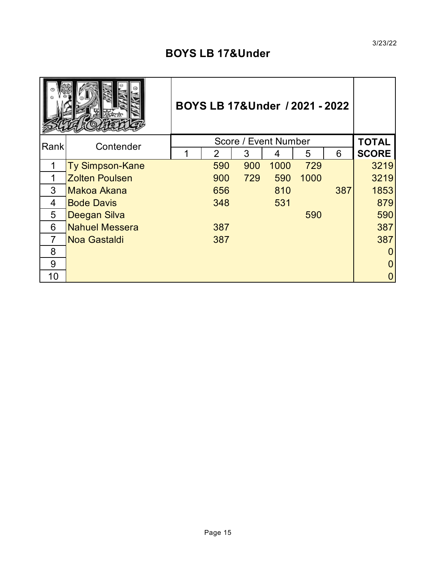# **BOYS LB 17&Under**

|      |                        | BOYS LB 17&Under / 2021 - 2022 |               |     |                      |      |     |              |
|------|------------------------|--------------------------------|---------------|-----|----------------------|------|-----|--------------|
| Rank | Contender              |                                |               |     | Score / Event Number |      |     | <b>TOTAL</b> |
|      |                        |                                | $\mathcal{P}$ | 3   | 4                    | 5    | 6   | <b>SCORE</b> |
|      | <b>Ty Simpson-Kane</b> |                                | 590           | 900 | 1000                 | 729  |     | 3219         |
| 1    | <b>Zolten Poulsen</b>  |                                | 900           | 729 | 590                  | 1000 |     | 3219         |
| 3    | Makoa Akana            |                                | 656           |     | 810                  |      | 387 | 1853         |
| 4    | <b>Bode Davis</b>      |                                | 348           |     | 531                  |      |     | 879          |
| 5    | Deegan Silva           |                                |               |     |                      | 590  |     | 590          |
| 6    | <b>Nahuel Messera</b>  |                                | 387           |     |                      |      |     | 387          |
| 7    | Noa Gastaldi           |                                | 387           |     |                      |      |     | 387          |
| 8    |                        |                                |               |     |                      |      |     |              |
| 9    |                        |                                |               |     |                      |      |     | 0            |
| 10   |                        |                                |               |     |                      |      |     |              |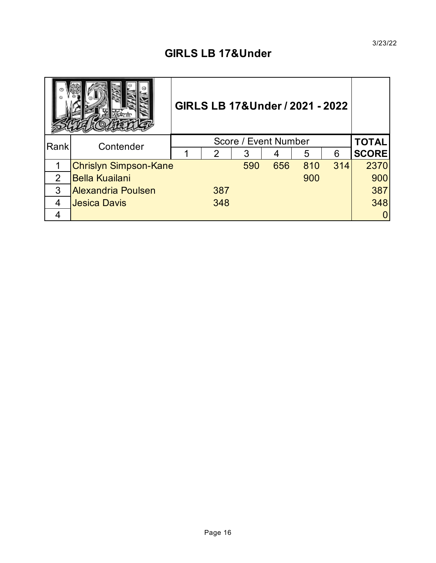# **GIRLS LB 17&Under**

|      | GIRLS LB 17&Under / 2021 - 2022 |  |              |     |     |     |     |              |
|------|---------------------------------|--|--------------|-----|-----|-----|-----|--------------|
| Rank | Contender                       |  | <b>TOTAL</b> |     |     |     |     |              |
|      |                                 |  | 2            | 3   | 4   | 5   | 6   | <b>SCORE</b> |
|      | <b>Chrislyn Simpson-Kane</b>    |  |              | 590 | 656 | 810 | 314 | 2370         |
| 2    | <b>Bella Kuailani</b>           |  |              |     |     | 900 |     | 900          |
| 3    | <b>Alexandria Poulsen</b>       |  | 387          |     |     |     |     | 387          |
| 4    | <b>Jesica Davis</b>             |  | 348          |     |     |     |     | 348          |
|      |                                 |  |              |     |     |     |     |              |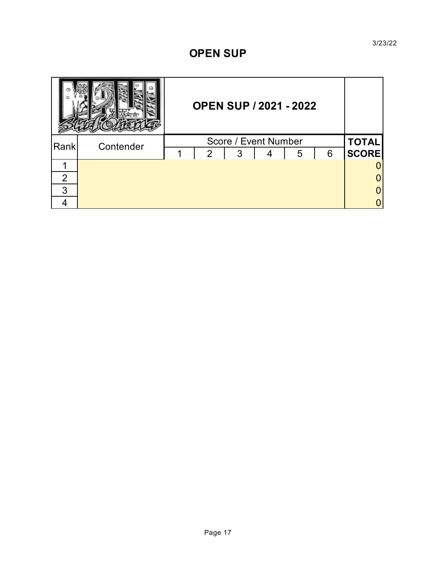#### **OPEN SUP**

|      |           | <b>OPEN SUP / 2021 - 2022</b> |                |   |  |   |   |              |
|------|-----------|-------------------------------|----------------|---|--|---|---|--------------|
| Rank | Contender |                               | <b>TOTAL</b>   |   |  |   |   |              |
|      |           | 1                             | $\overline{2}$ | 3 |  | 5 | 6 | <b>SCORE</b> |
|      |           |                               |                |   |  |   |   |              |
| 2    |           |                               |                |   |  |   |   |              |
| 3    |           |                               |                |   |  |   |   |              |
|      |           |                               |                |   |  |   |   |              |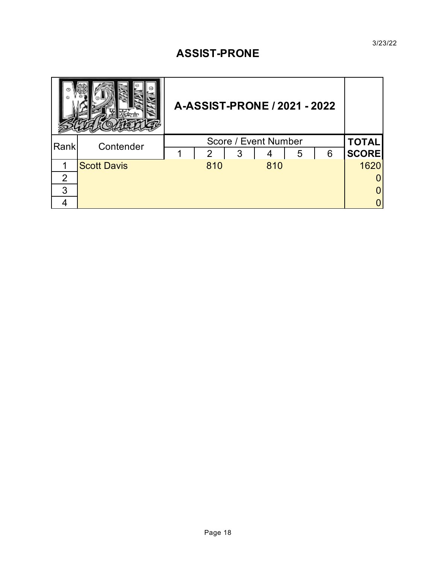### **ASSIST-PRONE**

|                |                    | A-ASSIST-PRONE / 2021 - 2022 |              |
|----------------|--------------------|------------------------------|--------------|
| Rank           | Contender          | Score / Event Number         | <b>TOTAL</b> |
|                |                    | 3<br>6<br>2<br>5             | <b>SCORE</b> |
|                | <b>Scott Davis</b> | 810<br>810                   | 1620         |
| $\overline{2}$ |                    |                              |              |
| 3              |                    |                              |              |
|                |                    |                              |              |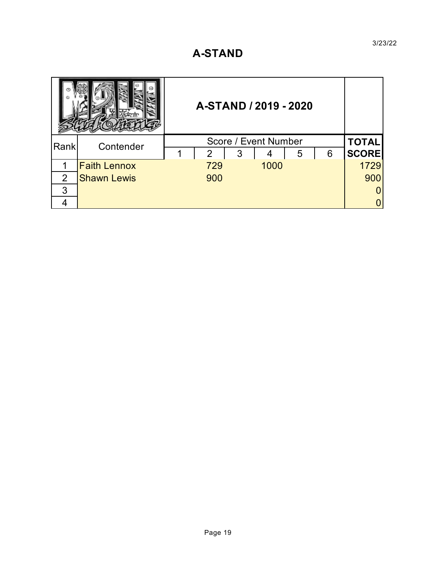### **A-STAND**

|      |                     | A-STAND / 2019 - 2020 |                  |      |   |   |              |
|------|---------------------|-----------------------|------------------|------|---|---|--------------|
| Rank | Contender           |                       | <b>TOTAL</b>     |      |   |   |              |
|      |                     |                       | 3<br>$2^{\circ}$ |      | 5 | 6 | <b>SCORE</b> |
|      | <b>Faith Lennox</b> |                       | 729              | 1000 |   |   | 1729         |
| 2    | <b>Shawn Lewis</b>  |                       | 900              |      |   |   | 900          |
| 3    |                     |                       |                  |      |   |   |              |
|      |                     |                       |                  |      |   |   |              |